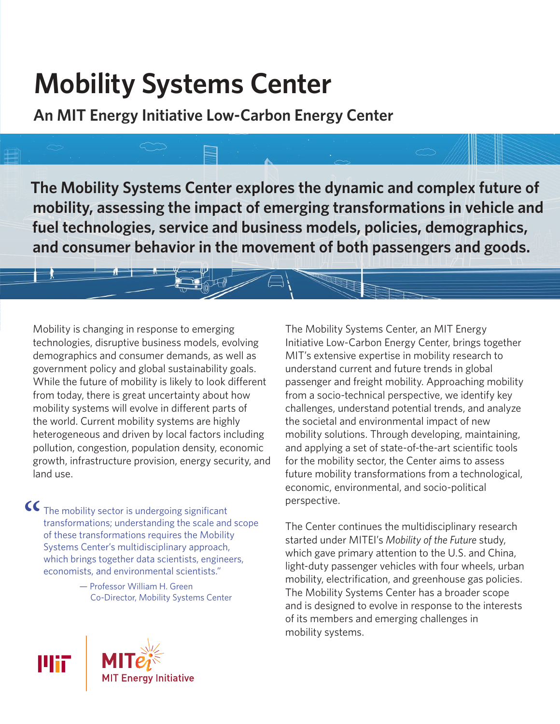# **Mobility Systems Center**

**An MIT Energy Initiative Low-Carbon Energy Center**

**The Mobility Systems Center explores the dynamic and complex future of mobility, assessing the impact of emerging transformations in vehicle and fuel technologies, service and business models, policies, demographics, and consumer behavior in the movement of both passengers and goods.**

Mobility is changing in response to emerging technologies, disruptive business models, evolving demographics and consumer demands, as well as government policy and global sustainability goals. While the future of mobility is likely to look different from today, there is great uncertainty about how mobility systems will evolve in different parts of the world. Current mobility systems are highly heterogeneous and driven by local factors including pollution, congestion, population density, economic growth, infrastructure provision, energy security, and land use.

 $\mathsf{CC}\xspace$  The mobility sector is undergoing significant<br>transformations; understanding the scale and<br>of these transformations requires the Mobility<br>Surface Center's multi-line is linear seminals transformations; understanding the scale and scope of these transformations requires the Mobility Systems Center's multidisciplinary approach, which brings together data scientists, engineers, economists, and environmental scientists."

> — Professor William H. Green Co-Director, Mobility Systems Center

The Mobility Systems Center, an MIT Energy Initiative Low-Carbon Energy Center, brings together MIT's extensive expertise in mobility research to understand current and future trends in global passenger and freight mobility. Approaching mobility from a socio-technical perspective, we identify key challenges, understand potential trends, and analyze the societal and environmental impact of new mobility solutions. Through developing, maintaining, and applying a set of state-of-the-art scientific tools for the mobility sector, the Center aims to assess future mobility transformations from a technological, economic, environmental, and socio-political perspective.

The Center continues the multidisciplinary research started under MITEI's *Mobility of the Future* study, which gave primary attention to the U.S. and China, light-duty passenger vehicles with four wheels, urban mobility, electrification, and greenhouse gas policies. The Mobility Systems Center has a broader scope and is designed to evolve in response to the interests of its members and emerging challenges in mobility systems.

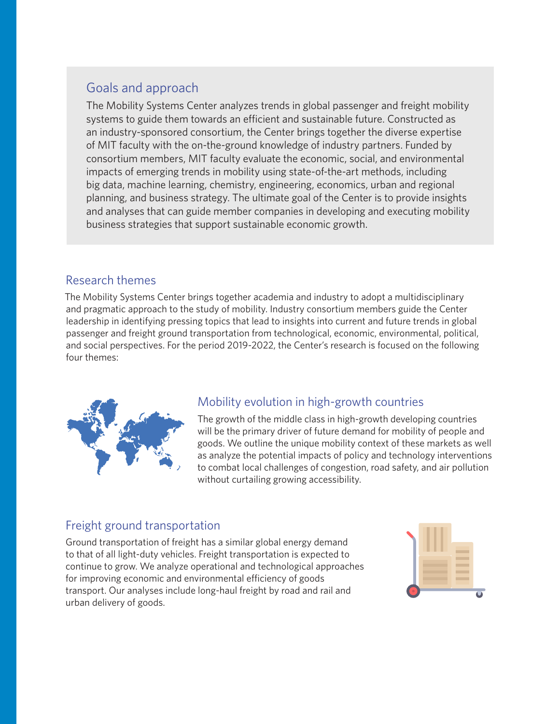## Goals and approach

The Mobility Systems Center analyzes trends in global passenger and freight mobility systems to guide them towards an efficient and sustainable future. Constructed as an industry-sponsored consortium, the Center brings together the diverse expertise of MIT faculty with the on-the-ground knowledge of industry partners. Funded by consortium members, MIT faculty evaluate the economic, social, and environmental impacts of emerging trends in mobility using state-of-the-art methods, including big data, machine learning, chemistry, engineering, economics, urban and regional planning, and business strategy. The ultimate goal of the Center is to provide insights and analyses that can guide member companies in developing and executing mobility business strategies that support sustainable economic growth.

#### Research themes

The Mobility Systems Center brings together academia and industry to adopt a multidisciplinary and pragmatic approach to the study of mobility. Industry consortium members guide the Center leadership in identifying pressing topics that lead to insights into current and future trends in global passenger and freight ground transportation from technological, economic, environmental, political, and social perspectives. For the period 2019-2022, the Center's research is focused on the following four themes:



## Mobility evolution in high-growth countries

The growth of the middle class in high-growth developing countries will be the primary driver of future demand for mobility of people and goods. We outline the unique mobility context of these markets as well as analyze the potential impacts of policy and technology interventions to combat local challenges of congestion, road safety, and air pollution without curtailing growing accessibility.

## Freight ground transportation

Ground transportation of freight has a similar global energy demand to that of all light-duty vehicles. Freight transportation is expected to continue to grow. We analyze operational and technological approaches for improving economic and environmental efficiency of goods transport. Our analyses include long-haul freight by road and rail and urban delivery of goods.

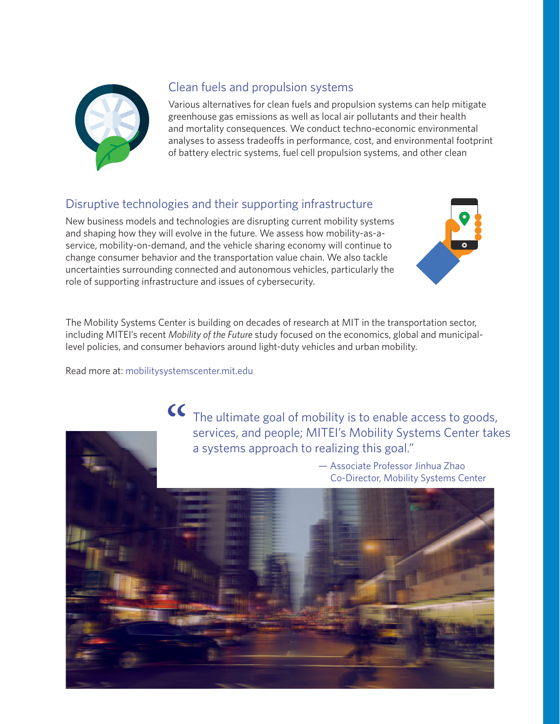

## Clean fuels and propulsion systems

Various alternatives for clean fuels and propulsion systems can help mitigate greenhouse gas emissions as well as local air pollutants and their health and mortality consequences. We conduct techno-economic environmental analyses to assess tradeoffs in performance, cost, and environmental footprint of battery electric systems, fuel cell propulsion systems, and other clean

## Disruptive technologies and their supporting infrastructure

New business models and technologies are disrupting current mobility systems and shaping how they will evolve in the future. We assess how mobility-as-aservice, mobility-on-demand, and the vehicle sharing economy will continue to change consumer behavior and the transportation value chain. We also tackle uncertainties surrounding connected and autonomous vehicles, particularly the role of supporting infrastructure and issues of cybersecurity.

The Mobility Systems Center is building on decades of research at MIT in the transportation sector, including MITEI's recent *Mobility of the Future* study focused on the economics, global and municipallevel policies, and consumer behaviors around light-duty vehicles and urban mobility.

Read more at: mobilitysystemscenter.mit.edu

The ultimate goal of mobility is to enable access to goods, services, and people; MITEI's Mobility Systems Center takes  $\alpha$ a systems approach to realizing this goal."

> — Associate Professor Jinhua Zhao Co-Director, Mobility Systems Center